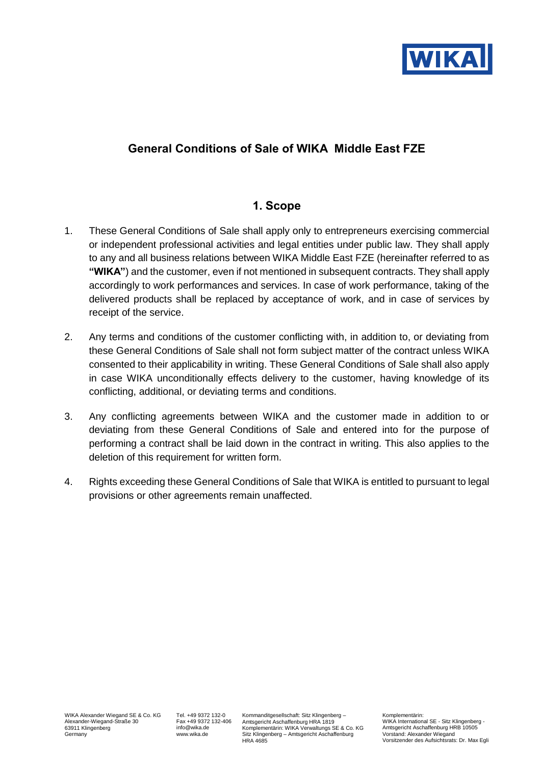

### **General Conditions of Sale of WIKA Middle East FZE**

#### **1. Scope**

- 1. These General Conditions of Sale shall apply only to entrepreneurs exercising commercial or independent professional activities and legal entities under public law. They shall apply to any and all business relations between WIKA Middle East FZE (hereinafter referred to as **"WIKA"**) and the customer, even if not mentioned in subsequent contracts. They shall apply accordingly to work performances and services. In case of work performance, taking of the delivered products shall be replaced by acceptance of work, and in case of services by receipt of the service.
- 2. Any terms and conditions of the customer conflicting with, in addition to, or deviating from these General Conditions of Sale shall not form subject matter of the contract unless WIKA consented to their applicability in writing. These General Conditions of Sale shall also apply in case WIKA unconditionally effects delivery to the customer, having knowledge of its conflicting, additional, or deviating terms and conditions.
- 3. Any conflicting agreements between WIKA and the customer made in addition to or deviating from these General Conditions of Sale and entered into for the purpose of performing a contract shall be laid down in the contract in writing. This also applies to the deletion of this requirement for written form.
- 4. Rights exceeding these General Conditions of Sale that WIKA is entitled to pursuant to legal provisions or other agreements remain unaffected.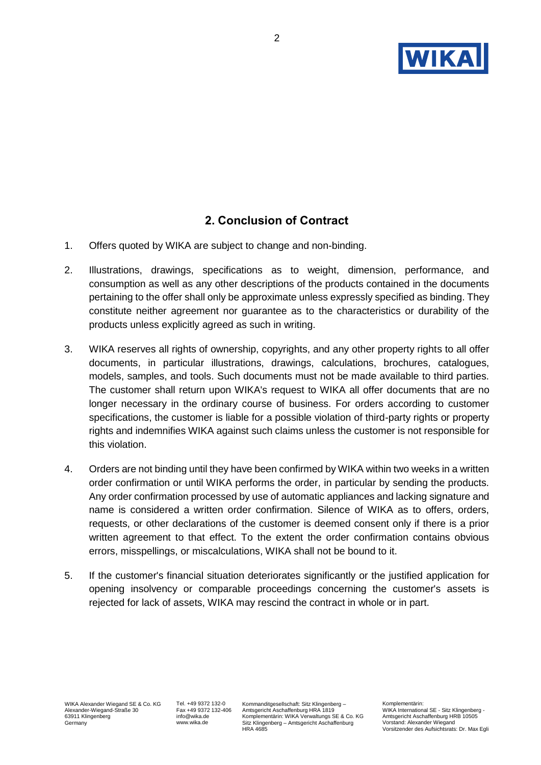

# **2. Conclusion of Contract**

- 1. Offers quoted by WIKA are subject to change and non-binding.
- 2. Illustrations, drawings, specifications as to weight, dimension, performance, and consumption as well as any other descriptions of the products contained in the documents pertaining to the offer shall only be approximate unless expressly specified as binding. They constitute neither agreement nor guarantee as to the characteristics or durability of the products unless explicitly agreed as such in writing.
- 3. WIKA reserves all rights of ownership, copyrights, and any other property rights to all offer documents, in particular illustrations, drawings, calculations, brochures, catalogues, models, samples, and tools. Such documents must not be made available to third parties. The customer shall return upon WIKA's request to WIKA all offer documents that are no longer necessary in the ordinary course of business. For orders according to customer specifications, the customer is liable for a possible violation of third-party rights or property rights and indemnifies WIKA against such claims unless the customer is not responsible for this violation.
- 4. Orders are not binding until they have been confirmed by WIKA within two weeks in a written order confirmation or until WIKA performs the order, in particular by sending the products. Any order confirmation processed by use of automatic appliances and lacking signature and name is considered a written order confirmation. Silence of WIKA as to offers, orders, requests, or other declarations of the customer is deemed consent only if there is a prior written agreement to that effect. To the extent the order confirmation contains obvious errors, misspellings, or miscalculations, WIKA shall not be bound to it.
- 5. If the customer's financial situation deteriorates significantly or the justified application for opening insolvency or comparable proceedings concerning the customer's assets is rejected for lack of assets, WIKA may rescind the contract in whole or in part.

Tel. +49 9372 132-0 Fax +49 9372 132-406 info@wika.de www.wika.de

Kommanditgesellschaft: Sitz Klingenberg – Amtsgericht Aschaffenburg HRA 1819 Komplementärin: WIKA Verwaltungs SE & Co. KG Sitz Klingenberg – Amtsgericht Aschaffenburg HRA 4685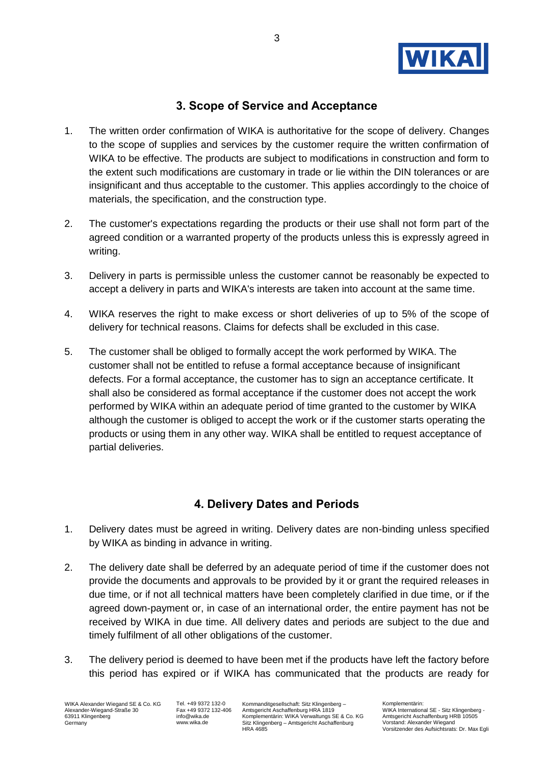

## **3. Scope of Service and Acceptance**

- 1. The written order confirmation of WIKA is authoritative for the scope of delivery. Changes to the scope of supplies and services by the customer require the written confirmation of WIKA to be effective. The products are subject to modifications in construction and form to the extent such modifications are customary in trade or lie within the DIN tolerances or are insignificant and thus acceptable to the customer. This applies accordingly to the choice of materials, the specification, and the construction type.
- 2. The customer's expectations regarding the products or their use shall not form part of the agreed condition or a warranted property of the products unless this is expressly agreed in writing.
- 3. Delivery in parts is permissible unless the customer cannot be reasonably be expected to accept a delivery in parts and WIKA's interests are taken into account at the same time.
- 4. WIKA reserves the right to make excess or short deliveries of up to 5% of the scope of delivery for technical reasons. Claims for defects shall be excluded in this case.
- 5. The customer shall be obliged to formally accept the work performed by WIKA. The customer shall not be entitled to refuse a formal acceptance because of insignificant defects. For a formal acceptance, the customer has to sign an acceptance certificate. It shall also be considered as formal acceptance if the customer does not accept the work performed by WIKA within an adequate period of time granted to the customer by WIKA although the customer is obliged to accept the work or if the customer starts operating the products or using them in any other way. WIKA shall be entitled to request acceptance of partial deliveries.

### **4. Delivery Dates and Periods**

- 1. Delivery dates must be agreed in writing. Delivery dates are non-binding unless specified by WIKA as binding in advance in writing.
- 2. The delivery date shall be deferred by an adequate period of time if the customer does not provide the documents and approvals to be provided by it or grant the required releases in due time, or if not all technical matters have been completely clarified in due time, or if the agreed down-payment or, in case of an international order, the entire payment has not be received by WIKA in due time. All delivery dates and periods are subject to the due and timely fulfilment of all other obligations of the customer.
- 3. The delivery period is deemed to have been met if the products have left the factory before this period has expired or if WIKA has communicated that the products are ready for

WIKA Alexander Wiegand SE & Co. KG Alexander-Wiegand-Straße 30 63911 Klingenberg Germany

Tel. +49 9372 132-0 Fax +49 9372 132-406 info@wika.de www.wika.de

Kommanditgesellschaft: Sitz Klingenberg – Amtsgericht Aschaffenburg HRA 1819 Komplementärin: WIKA Verwaltungs SE & Co. KG Sitz Klingenberg – Amtsgericht Aschaffenburg HRA 4685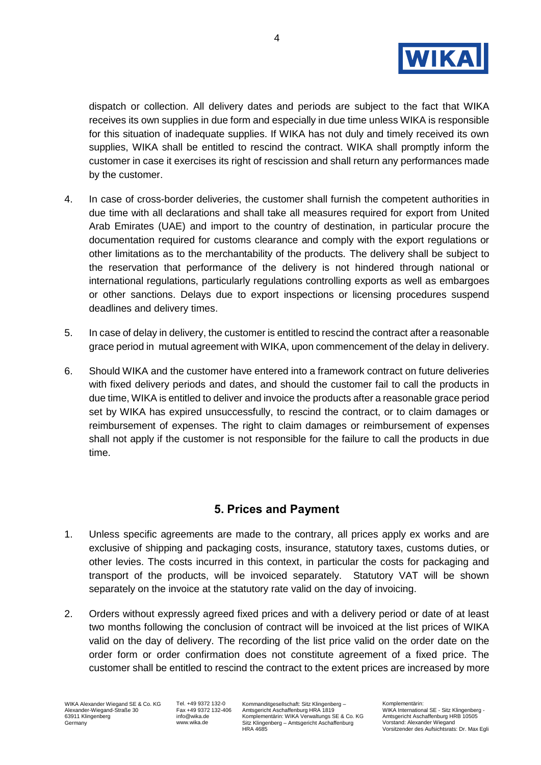

dispatch or collection. All delivery dates and periods are subject to the fact that WIKA receives its own supplies in due form and especially in due time unless WIKA is responsible for this situation of inadequate supplies. If WIKA has not duly and timely received its own supplies, WIKA shall be entitled to rescind the contract. WIKA shall promptly inform the customer in case it exercises its right of rescission and shall return any performances made by the customer.

- 4. In case of cross-border deliveries, the customer shall furnish the competent authorities in due time with all declarations and shall take all measures required for export from United Arab Emirates (UAE) and import to the country of destination, in particular procure the documentation required for customs clearance and comply with the export regulations or other limitations as to the merchantability of the products. The delivery shall be subject to the reservation that performance of the delivery is not hindered through national or international regulations, particularly regulations controlling exports as well as embargoes or other sanctions. Delays due to export inspections or licensing procedures suspend deadlines and delivery times.
- 5. In case of delay in delivery, the customer is entitled to rescind the contract after a reasonable grace period in mutual agreement with WIKA, upon commencement of the delay in delivery.
- 6. Should WIKA and the customer have entered into a framework contract on future deliveries with fixed delivery periods and dates, and should the customer fail to call the products in due time, WIKA is entitled to deliver and invoice the products after a reasonable grace period set by WIKA has expired unsuccessfully, to rescind the contract, or to claim damages or reimbursement of expenses. The right to claim damages or reimbursement of expenses shall not apply if the customer is not responsible for the failure to call the products in due time.

### **5. Prices and Payment**

- 1. Unless specific agreements are made to the contrary, all prices apply ex works and are exclusive of shipping and packaging costs, insurance, statutory taxes, customs duties, or other levies. The costs incurred in this context, in particular the costs for packaging and transport of the products, will be invoiced separately. Statutory VAT will be shown separately on the invoice at the statutory rate valid on the day of invoicing.
- 2. Orders without expressly agreed fixed prices and with a delivery period or date of at least two months following the conclusion of contract will be invoiced at the list prices of WIKA valid on the day of delivery. The recording of the list price valid on the order date on the order form or order confirmation does not constitute agreement of a fixed price. The customer shall be entitled to rescind the contract to the extent prices are increased by more

Tel. +49 9372 132-0 Fax +49 9372 132-406 info@wika.de www.wika.de

Kommanditgesellschaft: Sitz Klingenberg – Amtsgericht Aschaffenburg HRA 1819 Komplementärin: WIKA Verwaltungs SE & Co. KG Sitz Klingenberg – Amtsgericht Aschaffenburg HRA 4685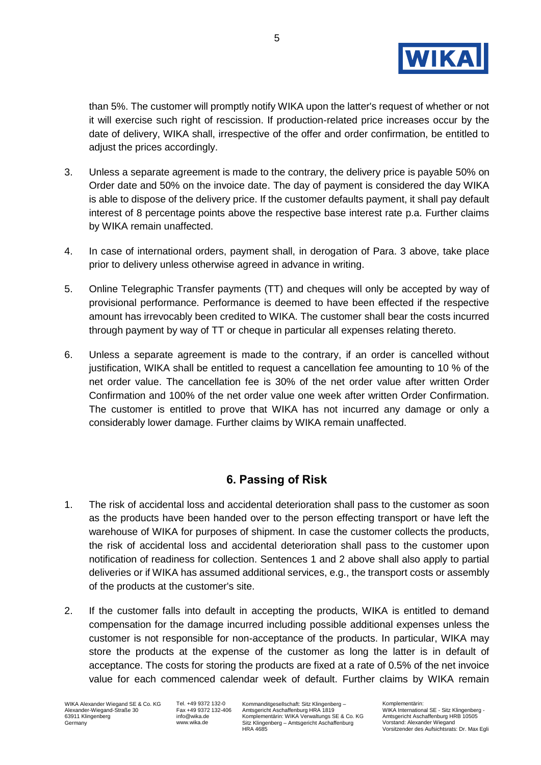

than 5%. The customer will promptly notify WIKA upon the latter's request of whether or not it will exercise such right of rescission. If production-related price increases occur by the date of delivery, WIKA shall, irrespective of the offer and order confirmation, be entitled to adjust the prices accordingly.

- 3. Unless a separate agreement is made to the contrary, the delivery price is payable 50% on Order date and 50% on the invoice date. The day of payment is considered the day WIKA is able to dispose of the delivery price. If the customer defaults payment, it shall pay default interest of 8 percentage points above the respective base interest rate p.a. Further claims by WIKA remain unaffected.
- 4. In case of international orders, payment shall, in derogation of Para. 3 above, take place prior to delivery unless otherwise agreed in advance in writing.
- 5. Online Telegraphic Transfer payments (TT) and cheques will only be accepted by way of provisional performance. Performance is deemed to have been effected if the respective amount has irrevocably been credited to WIKA. The customer shall bear the costs incurred through payment by way of TT or cheque in particular all expenses relating thereto.
- 6. Unless a separate agreement is made to the contrary, if an order is cancelled without justification, WIKA shall be entitled to request a cancellation fee amounting to 10 % of the net order value. The cancellation fee is 30% of the net order value after written Order Confirmation and 100% of the net order value one week after written Order Confirmation. The customer is entitled to prove that WIKA has not incurred any damage or only a considerably lower damage. Further claims by WIKA remain unaffected.

### **6. Passing of Risk**

- 1. The risk of accidental loss and accidental deterioration shall pass to the customer as soon as the products have been handed over to the person effecting transport or have left the warehouse of WIKA for purposes of shipment. In case the customer collects the products, the risk of accidental loss and accidental deterioration shall pass to the customer upon notification of readiness for collection. Sentences 1 and 2 above shall also apply to partial deliveries or if WIKA has assumed additional services, e.g., the transport costs or assembly of the products at the customer's site.
- 2. If the customer falls into default in accepting the products, WIKA is entitled to demand compensation for the damage incurred including possible additional expenses unless the customer is not responsible for non-acceptance of the products. In particular, WIKA may store the products at the expense of the customer as long the latter is in default of acceptance. The costs for storing the products are fixed at a rate of 0.5% of the net invoice value for each commenced calendar week of default. Further claims by WIKA remain

Tel. +49 9372 132-0 Fax +49 9372 132-406 info@wika.de www.wika.de

Kommanditgesellschaft: Sitz Klingenberg – Amtsgericht Aschaffenburg HRA 1819 Komplementärin: WIKA Verwaltungs SE & Co. KG Sitz Klingenberg – Amtsgericht Aschaffenburg HRA 4685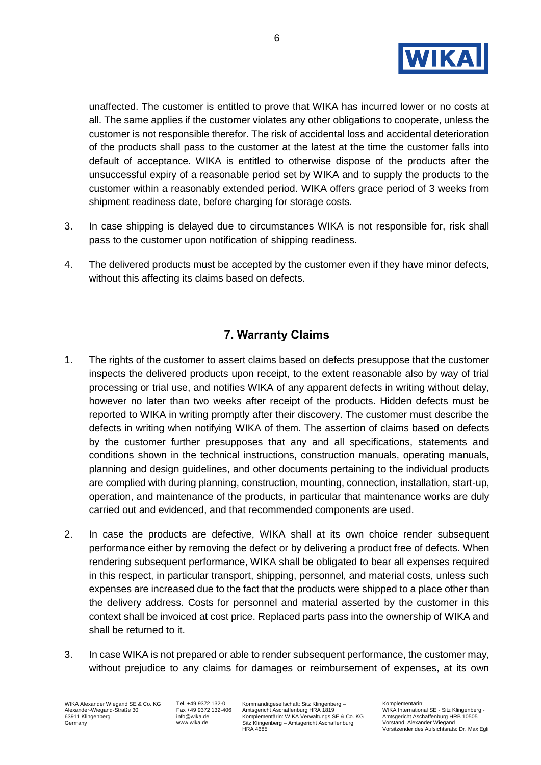

unaffected. The customer is entitled to prove that WIKA has incurred lower or no costs at all. The same applies if the customer violates any other obligations to cooperate, unless the customer is not responsible therefor. The risk of accidental loss and accidental deterioration of the products shall pass to the customer at the latest at the time the customer falls into default of acceptance. WIKA is entitled to otherwise dispose of the products after the unsuccessful expiry of a reasonable period set by WIKA and to supply the products to the customer within a reasonably extended period. WIKA offers grace period of 3 weeks from shipment readiness date, before charging for storage costs.

- 3. In case shipping is delayed due to circumstances WIKA is not responsible for, risk shall pass to the customer upon notification of shipping readiness.
- 4. The delivered products must be accepted by the customer even if they have minor defects, without this affecting its claims based on defects.

### **7. Warranty Claims**

- 1. The rights of the customer to assert claims based on defects presuppose that the customer inspects the delivered products upon receipt, to the extent reasonable also by way of trial processing or trial use, and notifies WIKA of any apparent defects in writing without delay, however no later than two weeks after receipt of the products. Hidden defects must be reported to WIKA in writing promptly after their discovery. The customer must describe the defects in writing when notifying WIKA of them. The assertion of claims based on defects by the customer further presupposes that any and all specifications, statements and conditions shown in the technical instructions, construction manuals, operating manuals, planning and design guidelines, and other documents pertaining to the individual products are complied with during planning, construction, mounting, connection, installation, start-up, operation, and maintenance of the products, in particular that maintenance works are duly carried out and evidenced, and that recommended components are used.
- 2. In case the products are defective, WIKA shall at its own choice render subsequent performance either by removing the defect or by delivering a product free of defects. When rendering subsequent performance, WIKA shall be obligated to bear all expenses required in this respect, in particular transport, shipping, personnel, and material costs, unless such expenses are increased due to the fact that the products were shipped to a place other than the delivery address. Costs for personnel and material asserted by the customer in this context shall be invoiced at cost price. Replaced parts pass into the ownership of WIKA and shall be returned to it.
- 3. In case WIKA is not prepared or able to render subsequent performance, the customer may, without prejudice to any claims for damages or reimbursement of expenses, at its own

WIKA Alexander Wiegand SE & Co. KG Alexander-Wiegand-Straße 30 63911 Klingenberg **Germany** 

Tel. +49 9372 132-0 Fax +49 9372 132-406 info@wika.de www.wika.de

Kommanditgesellschaft: Sitz Klingenberg – Amtsgericht Aschaffenburg HRA 1819 Komplementärin: WIKA Verwaltungs SE & Co. KG Sitz Klingenberg – Amtsgericht Aschaffenburg HRA 4685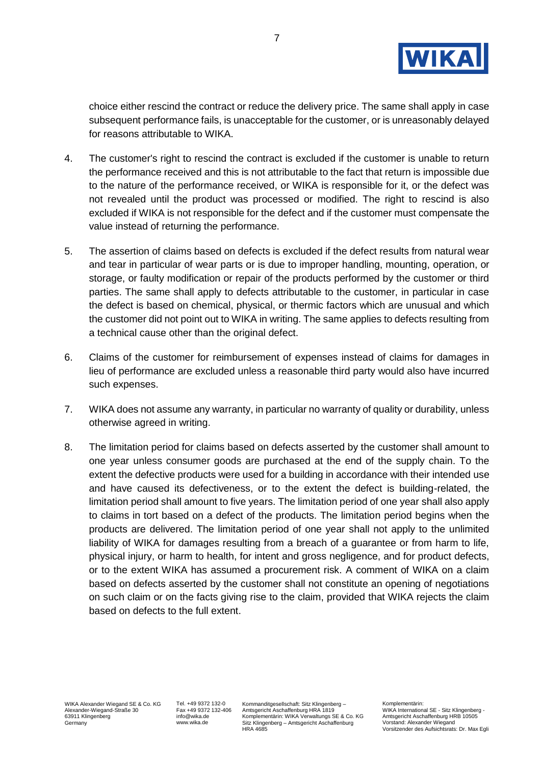

choice either rescind the contract or reduce the delivery price. The same shall apply in case subsequent performance fails, is unacceptable for the customer, or is unreasonably delayed for reasons attributable to WIKA.

- 4. The customer's right to rescind the contract is excluded if the customer is unable to return the performance received and this is not attributable to the fact that return is impossible due to the nature of the performance received, or WIKA is responsible for it, or the defect was not revealed until the product was processed or modified. The right to rescind is also excluded if WIKA is not responsible for the defect and if the customer must compensate the value instead of returning the performance.
- 5. The assertion of claims based on defects is excluded if the defect results from natural wear and tear in particular of wear parts or is due to improper handling, mounting, operation, or storage, or faulty modification or repair of the products performed by the customer or third parties. The same shall apply to defects attributable to the customer, in particular in case the defect is based on chemical, physical, or thermic factors which are unusual and which the customer did not point out to WIKA in writing. The same applies to defects resulting from a technical cause other than the original defect.
- 6. Claims of the customer for reimbursement of expenses instead of claims for damages in lieu of performance are excluded unless a reasonable third party would also have incurred such expenses.
- 7. WIKA does not assume any warranty, in particular no warranty of quality or durability, unless otherwise agreed in writing.
- 8. The limitation period for claims based on defects asserted by the customer shall amount to one year unless consumer goods are purchased at the end of the supply chain. To the extent the defective products were used for a building in accordance with their intended use and have caused its defectiveness, or to the extent the defect is building-related, the limitation period shall amount to five years. The limitation period of one year shall also apply to claims in tort based on a defect of the products. The limitation period begins when the products are delivered. The limitation period of one year shall not apply to the unlimited liability of WIKA for damages resulting from a breach of a guarantee or from harm to life, physical injury, or harm to health, for intent and gross negligence, and for product defects, or to the extent WIKA has assumed a procurement risk. A comment of WIKA on a claim based on defects asserted by the customer shall not constitute an opening of negotiations on such claim or on the facts giving rise to the claim, provided that WIKA rejects the claim based on defects to the full extent.

Tel. +49 9372 132-0 Fax +49 9372 132-406 info@wika.de www.wika.de

Kommanditgesellschaft: Sitz Klingenberg – Amtsgericht Aschaffenburg HRA 1819 Komplementärin: WIKA Verwaltungs SE & Co. KG Sitz Klingenberg – Amtsgericht Aschaffenburg HRA 4685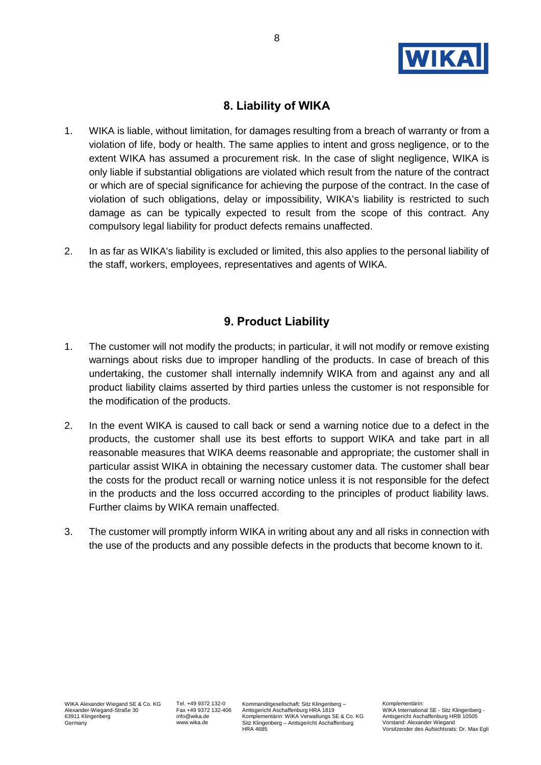

## **8. Liability of WIKA**

- 1. WIKA is liable, without limitation, for damages resulting from a breach of warranty or from a violation of life, body or health. The same applies to intent and gross negligence, or to the extent WIKA has assumed a procurement risk. In the case of slight negligence, WIKA is only liable if substantial obligations are violated which result from the nature of the contract or which are of special significance for achieving the purpose of the contract. In the case of violation of such obligations, delay or impossibility, WIKA's liability is restricted to such damage as can be typically expected to result from the scope of this contract. Any compulsory legal liability for product defects remains unaffected.
- 2. In as far as WIKA's liability is excluded or limited, this also applies to the personal liability of the staff, workers, employees, representatives and agents of WIKA.

#### **9. Product Liability**

- 1. The customer will not modify the products; in particular, it will not modify or remove existing warnings about risks due to improper handling of the products. In case of breach of this undertaking, the customer shall internally indemnify WIKA from and against any and all product liability claims asserted by third parties unless the customer is not responsible for the modification of the products.
- 2. In the event WIKA is caused to call back or send a warning notice due to a defect in the products, the customer shall use its best efforts to support WIKA and take part in all reasonable measures that WIKA deems reasonable and appropriate; the customer shall in particular assist WIKA in obtaining the necessary customer data. The customer shall bear the costs for the product recall or warning notice unless it is not responsible for the defect in the products and the loss occurred according to the principles of product liability laws. Further claims by WIKA remain unaffected.
- 3. The customer will promptly inform WIKA in writing about any and all risks in connection with the use of the products and any possible defects in the products that become known to it.

Tel. +49 9372 132-0 Fax +49 9372 132-406 info@wika.de www.wika.de

Kommanditgesellschaft: Sitz Klingenberg – Amtsgericht Aschaffenburg HRA 1819 Komplementärin: WIKA Verwaltungs SE & Co. KG Sitz Klingenberg – Amtsgericht Aschaffenburg HRA 4685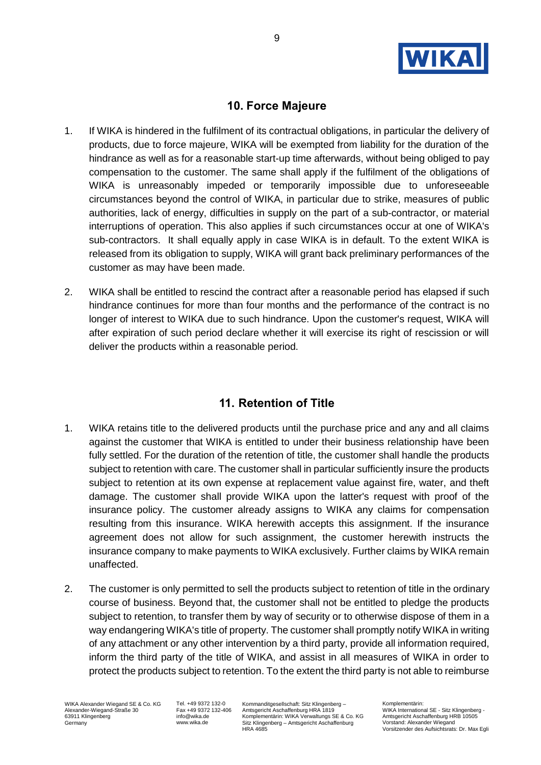

### **10. Force Majeure**

- 1. If WIKA is hindered in the fulfilment of its contractual obligations, in particular the delivery of products, due to force majeure, WIKA will be exempted from liability for the duration of the hindrance as well as for a reasonable start-up time afterwards, without being obliged to pay compensation to the customer. The same shall apply if the fulfilment of the obligations of WIKA is unreasonably impeded or temporarily impossible due to unforeseeable circumstances beyond the control of WIKA, in particular due to strike, measures of public authorities, lack of energy, difficulties in supply on the part of a sub-contractor, or material interruptions of operation. This also applies if such circumstances occur at one of WIKA's sub-contractors. It shall equally apply in case WIKA is in default. To the extent WIKA is released from its obligation to supply, WIKA will grant back preliminary performances of the customer as may have been made.
- 2. WIKA shall be entitled to rescind the contract after a reasonable period has elapsed if such hindrance continues for more than four months and the performance of the contract is no longer of interest to WIKA due to such hindrance. Upon the customer's request, WIKA will after expiration of such period declare whether it will exercise its right of rescission or will deliver the products within a reasonable period.

### **11. Retention of Title**

- 1. WIKA retains title to the delivered products until the purchase price and any and all claims against the customer that WIKA is entitled to under their business relationship have been fully settled. For the duration of the retention of title, the customer shall handle the products subject to retention with care. The customer shall in particular sufficiently insure the products subject to retention at its own expense at replacement value against fire, water, and theft damage. The customer shall provide WIKA upon the latter's request with proof of the insurance policy. The customer already assigns to WIKA any claims for compensation resulting from this insurance. WIKA herewith accepts this assignment. If the insurance agreement does not allow for such assignment, the customer herewith instructs the insurance company to make payments to WIKA exclusively. Further claims by WIKA remain unaffected.
- 2. The customer is only permitted to sell the products subject to retention of title in the ordinary course of business. Beyond that, the customer shall not be entitled to pledge the products subject to retention, to transfer them by way of security or to otherwise dispose of them in a way endangering WIKA's title of property. The customer shall promptly notify WIKA in writing of any attachment or any other intervention by a third party, provide all information required, inform the third party of the title of WIKA, and assist in all measures of WIKA in order to protect the products subject to retention. To the extent the third party is not able to reimburse

WIKA Alexander Wiegand SE & Co. KG Alexander-Wiegand-Straße 30 63911 Klingenberg Germany

Tel. +49 9372 132-0 Fax +49 9372 132-406 info@wika.de www.wika.de

Kommanditgesellschaft: Sitz Klingenberg – Amtsgericht Aschaffenburg HRA 1819 Komplementärin: WIKA Verwaltungs SE & Co. KG Sitz Klingenberg – Amtsgericht Aschaffenburg HRA 4685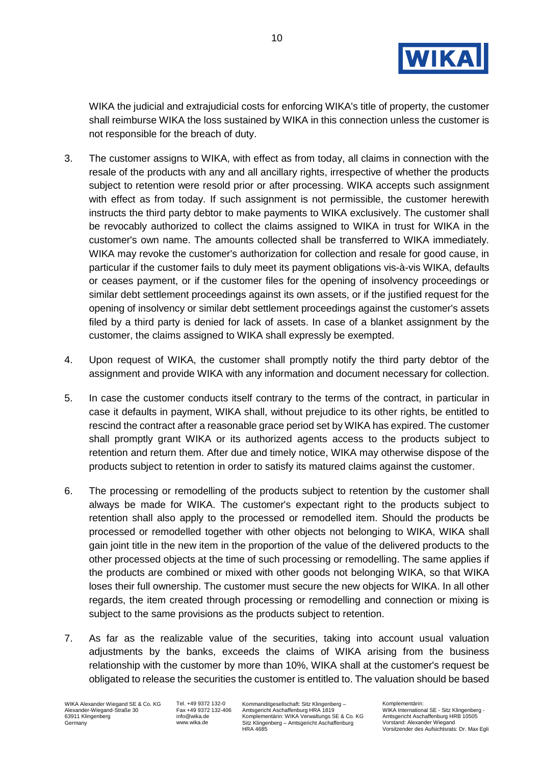

WIKA the judicial and extrajudicial costs for enforcing WIKA's title of property, the customer shall reimburse WIKA the loss sustained by WIKA in this connection unless the customer is not responsible for the breach of duty.

- 3. The customer assigns to WIKA, with effect as from today, all claims in connection with the resale of the products with any and all ancillary rights, irrespective of whether the products subject to retention were resold prior or after processing. WIKA accepts such assignment with effect as from today. If such assignment is not permissible, the customer herewith instructs the third party debtor to make payments to WIKA exclusively. The customer shall be revocably authorized to collect the claims assigned to WIKA in trust for WIKA in the customer's own name. The amounts collected shall be transferred to WIKA immediately. WIKA may revoke the customer's authorization for collection and resale for good cause, in particular if the customer fails to duly meet its payment obligations vis-à-vis WIKA, defaults or ceases payment, or if the customer files for the opening of insolvency proceedings or similar debt settlement proceedings against its own assets, or if the justified request for the opening of insolvency or similar debt settlement proceedings against the customer's assets filed by a third party is denied for lack of assets. In case of a blanket assignment by the customer, the claims assigned to WIKA shall expressly be exempted.
- 4. Upon request of WIKA, the customer shall promptly notify the third party debtor of the assignment and provide WIKA with any information and document necessary for collection.
- 5. In case the customer conducts itself contrary to the terms of the contract, in particular in case it defaults in payment, WIKA shall, without prejudice to its other rights, be entitled to rescind the contract after a reasonable grace period set by WIKA has expired. The customer shall promptly grant WIKA or its authorized agents access to the products subject to retention and return them. After due and timely notice, WIKA may otherwise dispose of the products subject to retention in order to satisfy its matured claims against the customer.
- 6. The processing or remodelling of the products subject to retention by the customer shall always be made for WIKA. The customer's expectant right to the products subject to retention shall also apply to the processed or remodelled item. Should the products be processed or remodelled together with other objects not belonging to WIKA, WIKA shall gain joint title in the new item in the proportion of the value of the delivered products to the other processed objects at the time of such processing or remodelling. The same applies if the products are combined or mixed with other goods not belonging WIKA, so that WIKA loses their full ownership. The customer must secure the new objects for WIKA. In all other regards, the item created through processing or remodelling and connection or mixing is subject to the same provisions as the products subject to retention.
- 7. As far as the realizable value of the securities, taking into account usual valuation adjustments by the banks, exceeds the claims of WIKA arising from the business relationship with the customer by more than 10%, WIKA shall at the customer's request be obligated to release the securities the customer is entitled to. The valuation should be based

Tel. +49 9372 132-0 Fax +49 9372 132-406 info@wika.de www.wika.de

Kommanditgesellschaft: Sitz Klingenberg – Amtsgericht Aschaffenburg HRA 1819 Komplementärin: WIKA Verwaltungs SE & Co. KG Sitz Klingenberg – Amtsgericht Aschaffenburg HRA 4685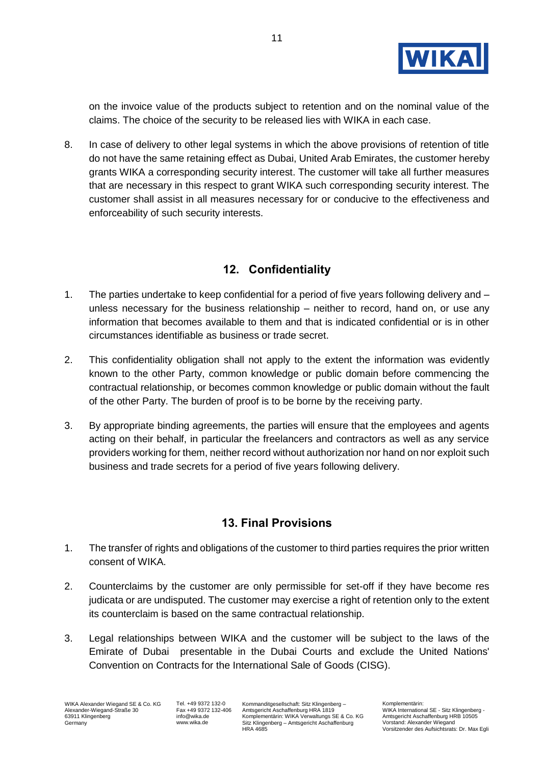

on the invoice value of the products subject to retention and on the nominal value of the claims. The choice of the security to be released lies with WIKA in each case.

8. In case of delivery to other legal systems in which the above provisions of retention of title do not have the same retaining effect as Dubai, United Arab Emirates, the customer hereby grants WIKA a corresponding security interest. The customer will take all further measures that are necessary in this respect to grant WIKA such corresponding security interest. The customer shall assist in all measures necessary for or conducive to the effectiveness and enforceability of such security interests.

### **12. Confidentiality**

- 1. The parties undertake to keep confidential for a period of five years following delivery and unless necessary for the business relationship – neither to record, hand on, or use any information that becomes available to them and that is indicated confidential or is in other circumstances identifiable as business or trade secret.
- 2. This confidentiality obligation shall not apply to the extent the information was evidently known to the other Party, common knowledge or public domain before commencing the contractual relationship, or becomes common knowledge or public domain without the fault of the other Party. The burden of proof is to be borne by the receiving party.
- 3. By appropriate binding agreements, the parties will ensure that the employees and agents acting on their behalf, in particular the freelancers and contractors as well as any service providers working for them, neither record without authorization nor hand on nor exploit such business and trade secrets for a period of five years following delivery.

### **13. Final Provisions**

- 1. The transfer of rights and obligations of the customer to third parties requires the prior written consent of WIKA.
- 2. Counterclaims by the customer are only permissible for set-off if they have become res judicata or are undisputed. The customer may exercise a right of retention only to the extent its counterclaim is based on the same contractual relationship.
- 3. Legal relationships between WIKA and the customer will be subject to the laws of the Emirate of Dubai presentable in the Dubai Courts and exclude the United Nations' Convention on Contracts for the International Sale of Goods (CISG).

Tel. +49 9372 132-0 Fax +49 9372 132-406 info@wika.de www.wika.de

Kommanditgesellschaft: Sitz Klingenberg – Amtsgericht Aschaffenburg HRA 1819 Komplementärin: WIKA Verwaltungs SE & Co. KG Sitz Klingenberg – Amtsgericht Aschaffenburg HRA 4685